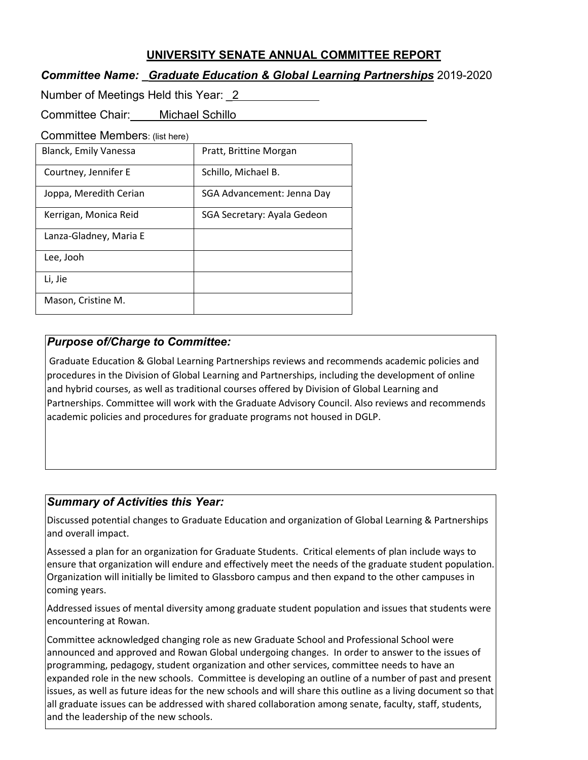# **UNIVERSITY SENATE ANNUAL COMMITTEE REPORT**

## *Committee Name: \_Graduate Education & Global Learning Partnerships* 2019-2020

Number of Meetings Held this Year: \_2

Committee Chair: Michael Schillo

Committee Members: (list here)

| <b>Blanck, Emily Vanessa</b> | Pratt, Brittine Morgan      |
|------------------------------|-----------------------------|
| Courtney, Jennifer E         | Schillo, Michael B.         |
| Joppa, Meredith Cerian       | SGA Advancement: Jenna Day  |
| Kerrigan, Monica Reid        | SGA Secretary: Ayala Gedeon |
| Lanza-Gladney, Maria E       |                             |
| Lee, Jooh                    |                             |
| Li, Jie                      |                             |
| Mason, Cristine M.           |                             |

# *Purpose of/Charge to Committee:*

Graduate Education & Global Learning Partnerships reviews and recommends academic policies and procedures in the Division of Global Learning and Partnerships, including the development of online and hybrid courses, as well as traditional courses offered by Division of Global Learning and Partnerships. Committee will work with the Graduate Advisory Council. Also reviews and recommends academic policies and procedures for graduate programs not housed in DGLP.

# *Summary of Activities this Year:*

Discussed potential changes to Graduate Education and organization of Global Learning & Partnerships and overall impact.

Assessed a plan for an organization for Graduate Students. Critical elements of plan include ways to ensure that organization will endure and effectively meet the needs of the graduate student population. Organization will initially be limited to Glassboro campus and then expand to the other campuses in coming years.

Addressed issues of mental diversity among graduate student population and issues that students were encountering at Rowan.

Committee acknowledged changing role as new Graduate School and Professional School were announced and approved and Rowan Global undergoing changes. In order to answer to the issues of programming, pedagogy, student organization and other services, committee needs to have an expanded role in the new schools. Committee is developing an outline of a number of past and present issues, as well as future ideas for the new schools and will share this outline as a living document so that all graduate issues can be addressed with shared collaboration among senate, faculty, staff, students, and the leadership of the new schools.